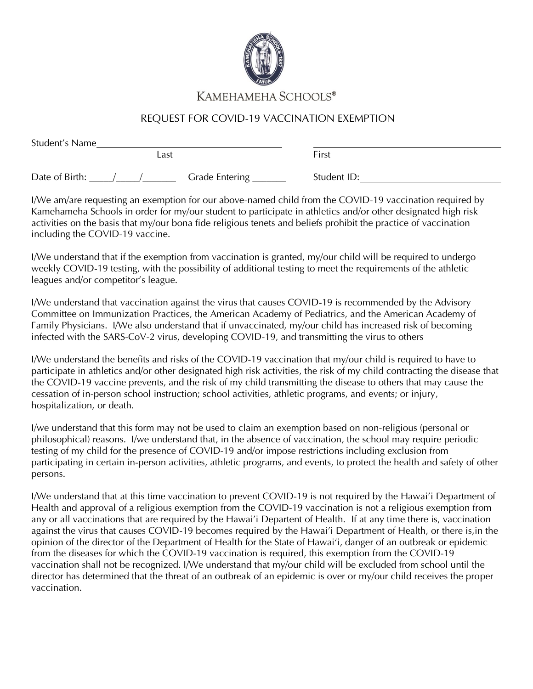

## KAMEHAMEHA SCHOOLS®

## REQUEST FOR COVID-19 VACCINATION EXEMPTION

| Student's Name |                |             |  |
|----------------|----------------|-------------|--|
|                | _ast           | First       |  |
| Date of Birth: | Grade Entering | Student ID: |  |

I/We am/are requesting an exemption for our above-named child from the COVID-19 vaccination required by Kamehameha Schools in order for my/our student to participate in athletics and/or other designated high risk activities on the basis that my/our bona fide religious tenets and beliefs prohibit the practice of vaccination including the COVID-19 vaccine.

I/We understand that if the exemption from vaccination is granted, my/our child will be required to undergo weekly COVID-19 testing, with the possibility of additional testing to meet the requirements of the athletic leagues and/or competitor's league.

I/We understand that vaccination against the virus that causes COVID-19 is recommended by the Advisory Committee on Immunization Practices, the American Academy of Pediatrics, and the American Academy of Family Physicians. I/We also understand that if unvaccinated, my/our child has increased risk of becoming infected with the SARS-CoV-2 virus, developing COVID-19, and transmitting the virus to others

I/We understand the benefits and risks of the COVID-19 vaccination that my/our child is required to have to participate in athletics and/or other designated high risk activities, the risk of my child contracting the disease that the COVID-19 vaccine prevents, and the risk of my child transmitting the disease to others that may cause the cessation of in-person school instruction; school activities, athletic programs, and events; or injury, hospitalization, or death.

I/we understand that this form may not be used to claim an exemption based on non-religious (personal or philosophical) reasons. I/we understand that, in the absence of vaccination, the school may require periodic testing of my child for the presence of COVID-19 and/or impose restrictions including exclusion from participating in certain in-person activities, athletic programs, and events, to protect the health and safety of other persons.

I/We understand that at this time vaccination to prevent COVID-19 is not required by the Hawai'i Department of Health and approval of a religious exemption from the COVID-19 vaccination is not a religious exemption from any or all vaccinations that are required by the Hawai'i Departent of Health. If at any time there is, vaccination against the virus that causes COVID-19 becomes required by the Hawai'i Department of Health, or there is,in the opinion of the director of the Department of Health for the State of Hawai'i, danger of an outbreak or epidemic from the diseases for which the COVID-19 vaccination is required, this exemption from the COVID-19 vaccination shall not be recognized. I/We understand that my/our child will be excluded from school until the director has determined that the threat of an outbreak of an epidemic is over or my/our child receives the proper vaccination.